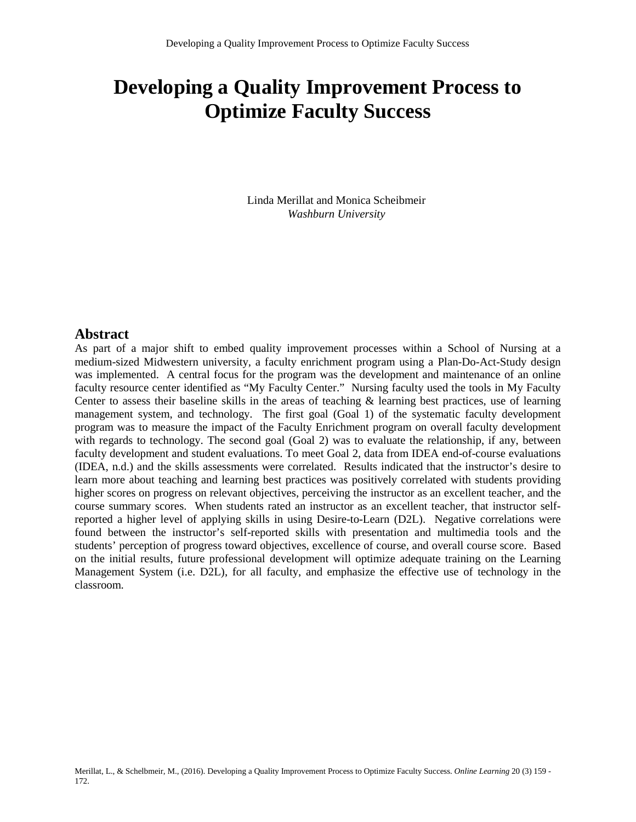# **Developing a Quality Improvement Process to Optimize Faculty Success**

Linda Merillat and Monica Scheibmeir *Washburn University*

#### **Abstract**

As part of a major shift to embed quality improvement processes within a School of Nursing at a medium-sized Midwestern university, a faculty enrichment program using a Plan-Do-Act-Study design was implemented. A central focus for the program was the development and maintenance of an online faculty resource center identified as "My Faculty Center." Nursing faculty used the tools in My Faculty Center to assess their baseline skills in the areas of teaching  $\&$  learning best practices, use of learning management system, and technology. The first goal (Goal 1) of the systematic faculty development program was to measure the impact of the Faculty Enrichment program on overall faculty development with regards to technology. The second goal (Goal 2) was to evaluate the relationship, if any, between faculty development and student evaluations. To meet Goal 2, data from IDEA end-of-course evaluations (IDEA, n.d.) and the skills assessments were correlated. Results indicated that the instructor's desire to learn more about teaching and learning best practices was positively correlated with students providing higher scores on progress on relevant objectives, perceiving the instructor as an excellent teacher, and the course summary scores. When students rated an instructor as an excellent teacher, that instructor selfreported a higher level of applying skills in using Desire-to-Learn (D2L). Negative correlations were found between the instructor's self-reported skills with presentation and multimedia tools and the students' perception of progress toward objectives, excellence of course, and overall course score. Based on the initial results, future professional development will optimize adequate training on the Learning Management System (i.e. D2L), for all faculty, and emphasize the effective use of technology in the classroom.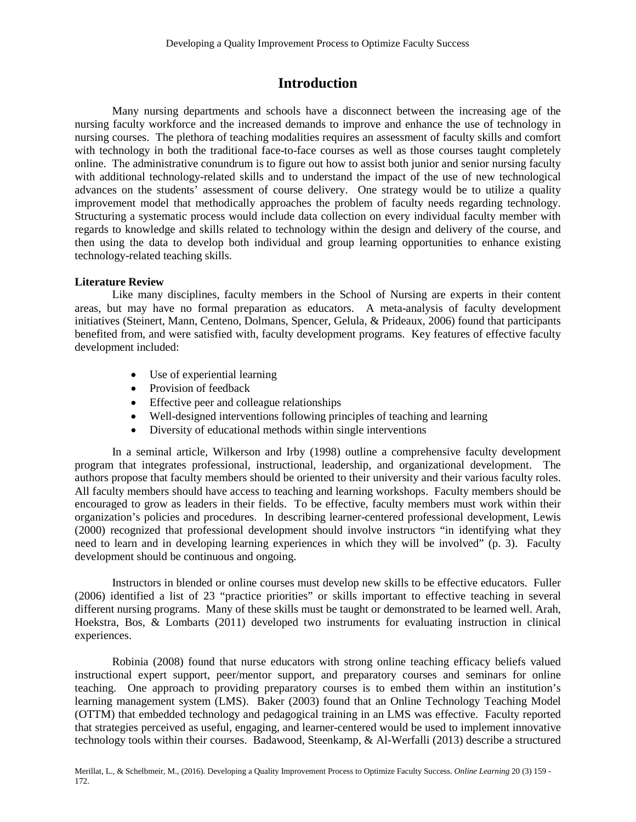# **Introduction**

Many nursing departments and schools have a disconnect between the increasing age of the nursing faculty workforce and the increased demands to improve and enhance the use of technology in nursing courses. The plethora of teaching modalities requires an assessment of faculty skills and comfort with technology in both the traditional face-to-face courses as well as those courses taught completely online. The administrative conundrum is to figure out how to assist both junior and senior nursing faculty with additional technology-related skills and to understand the impact of the use of new technological advances on the students' assessment of course delivery. One strategy would be to utilize a quality improvement model that methodically approaches the problem of faculty needs regarding technology. Structuring a systematic process would include data collection on every individual faculty member with regards to knowledge and skills related to technology within the design and delivery of the course, and then using the data to develop both individual and group learning opportunities to enhance existing technology-related teaching skills.

#### **Literature Review**

Like many disciplines, faculty members in the School of Nursing are experts in their content areas, but may have no formal preparation as educators. A meta-analysis of faculty development initiatives (Steinert, Mann, Centeno, Dolmans, Spencer, Gelula, & Prideaux, 2006) found that participants benefited from, and were satisfied with, faculty development programs. Key features of effective faculty development included:

- Use of experiential learning
- Provision of feedback
- Effective peer and colleague relationships
- Well-designed interventions following principles of teaching and learning
- Diversity of educational methods within single interventions

In a seminal article, Wilkerson and Irby (1998) outline a comprehensive faculty development program that integrates professional, instructional, leadership, and organizational development. The authors propose that faculty members should be oriented to their university and their various faculty roles. All faculty members should have access to teaching and learning workshops. Faculty members should be encouraged to grow as leaders in their fields. To be effective, faculty members must work within their organization's policies and procedures. In describing learner-centered professional development, Lewis (2000) recognized that professional development should involve instructors "in identifying what they need to learn and in developing learning experiences in which they will be involved" (p. 3). Faculty development should be continuous and ongoing.

Instructors in blended or online courses must develop new skills to be effective educators. Fuller (2006) identified a list of 23 "practice priorities" or skills important to effective teaching in several different nursing programs. Many of these skills must be taught or demonstrated to be learned well. Arah, Hoekstra, Bos, & Lombarts (2011) developed two instruments for evaluating instruction in clinical experiences.

Robinia (2008) found that nurse educators with strong online teaching efficacy beliefs valued instructional expert support, peer/mentor support, and preparatory courses and seminars for online teaching. One approach to providing preparatory courses is to embed them within an institution's learning management system (LMS). Baker (2003) found that an Online Technology Teaching Model (OTTM) that embedded technology and pedagogical training in an LMS was effective. Faculty reported that strategies perceived as useful, engaging, and learner-centered would be used to implement innovative technology tools within their courses. Badawood, Steenkamp, & Al-Werfalli (2013) describe a structured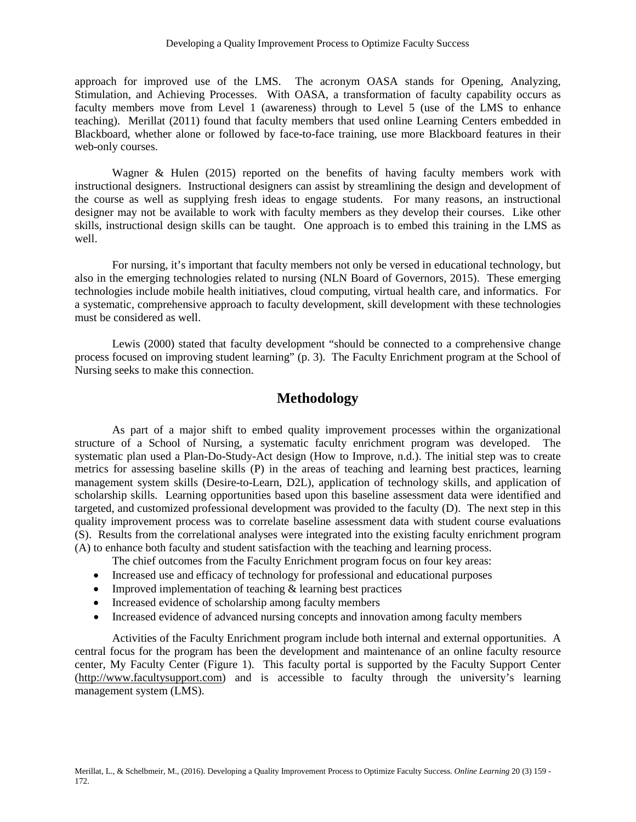approach for improved use of the LMS. The acronym OASA stands for Opening, Analyzing, Stimulation, and Achieving Processes. With OASA, a transformation of faculty capability occurs as faculty members move from Level 1 (awareness) through to Level 5 (use of the LMS to enhance teaching). Merillat (2011) found that faculty members that used online Learning Centers embedded in Blackboard, whether alone or followed by face-to-face training, use more Blackboard features in their web-only courses.

Wagner & Hulen (2015) reported on the benefits of having faculty members work with instructional designers. Instructional designers can assist by streamlining the design and development of the course as well as supplying fresh ideas to engage students. For many reasons, an instructional designer may not be available to work with faculty members as they develop their courses. Like other skills, instructional design skills can be taught. One approach is to embed this training in the LMS as well.

For nursing, it's important that faculty members not only be versed in educational technology, but also in the emerging technologies related to nursing (NLN Board of Governors, 2015). These emerging technologies include mobile health initiatives, cloud computing, virtual health care, and informatics. For a systematic, comprehensive approach to faculty development, skill development with these technologies must be considered as well.

Lewis (2000) stated that faculty development "should be connected to a comprehensive change process focused on improving student learning" (p. 3). The Faculty Enrichment program at the School of Nursing seeks to make this connection.

## **Methodology**

As part of a major shift to embed quality improvement processes within the organizational structure of a School of Nursing, a systematic faculty enrichment program was developed. The systematic plan used a Plan-Do-Study-Act design (How to Improve, n.d.). The initial step was to create metrics for assessing baseline skills (P) in the areas of teaching and learning best practices, learning management system skills (Desire-to-Learn, D2L), application of technology skills, and application of scholarship skills. Learning opportunities based upon this baseline assessment data were identified and targeted, and customized professional development was provided to the faculty (D). The next step in this quality improvement process was to correlate baseline assessment data with student course evaluations (S). Results from the correlational analyses were integrated into the existing faculty enrichment program (A) to enhance both faculty and student satisfaction with the teaching and learning process.

The chief outcomes from the Faculty Enrichment program focus on four key areas:

- Increased use and efficacy of technology for professional and educational purposes
- Improved implementation of teaching & learning best practices
- Increased evidence of scholarship among faculty members
- Increased evidence of advanced nursing concepts and innovation among faculty members

Activities of the Faculty Enrichment program include both internal and external opportunities. A central focus for the program has been the development and maintenance of an online faculty resource center, My Faculty Center (Figure 1). This faculty portal is supported by the Faculty Support Center [\(http://www.facultysupport.com\)](http://www.facultysupport.com/) and is accessible to faculty through the university's learning management system (LMS).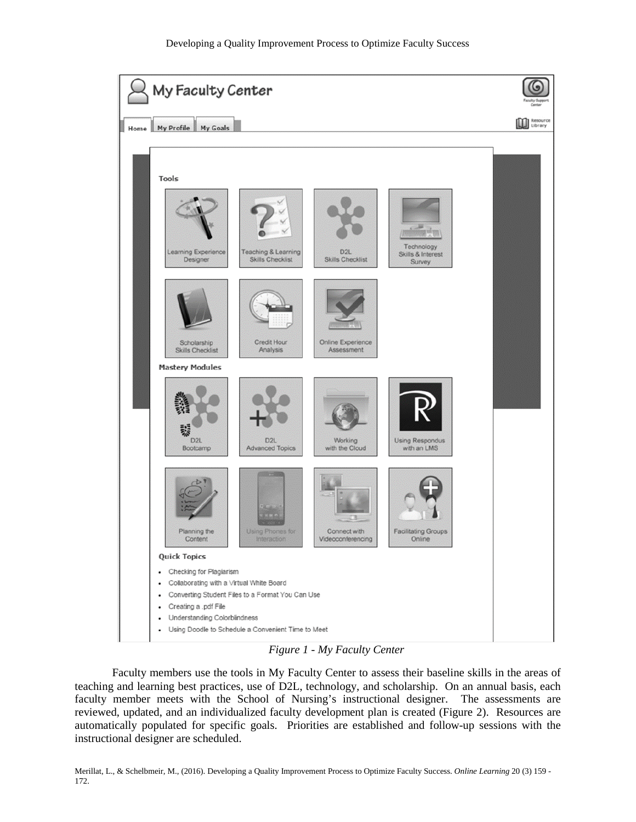

*Figure 1 - My Faculty Center*

Faculty members use the tools in My Faculty Center to assess their baseline skills in the areas of teaching and learning best practices, use of D2L, technology, and scholarship. On an annual basis, each faculty member meets with the School of Nursing's instructional designer. The assessments are reviewed, updated, and an individualized faculty development plan is created (Figure 2). Resources are automatically populated for specific goals. Priorities are established and follow-up sessions with the instructional designer are scheduled.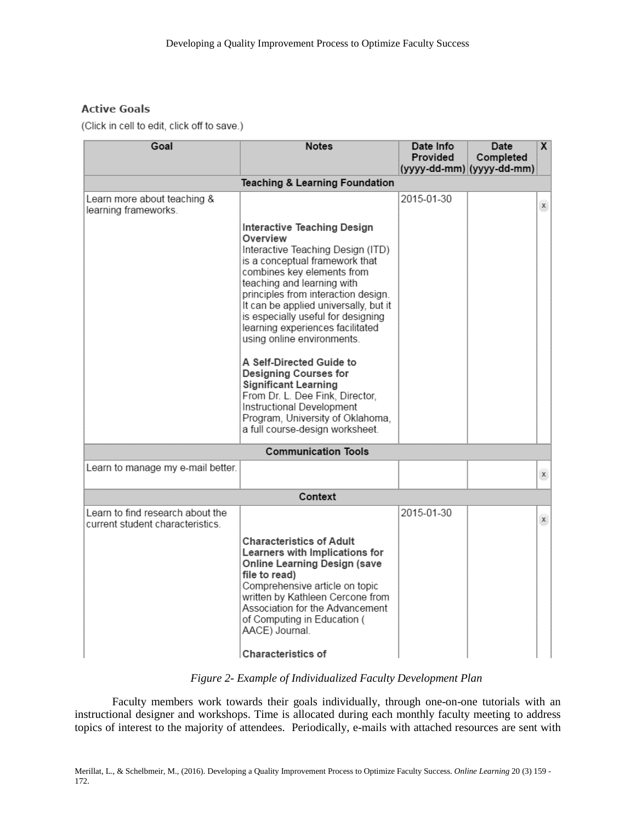### **Active Goals**

(Click in cell to edit, click off to save.)

| Goal                                                                 | <b>Notes</b>                                                                                                                                                                                                                                                                                                                                                                                                                                                                                                                                                                                  | Date Info<br>Provided | Date<br>Completed<br>(yyyy-dd-mm) (yyyy-dd-mm) | $\overline{\mathsf{x}}$ |  |  |
|----------------------------------------------------------------------|-----------------------------------------------------------------------------------------------------------------------------------------------------------------------------------------------------------------------------------------------------------------------------------------------------------------------------------------------------------------------------------------------------------------------------------------------------------------------------------------------------------------------------------------------------------------------------------------------|-----------------------|------------------------------------------------|-------------------------|--|--|
| <b>Teaching &amp; Learning Foundation</b>                            |                                                                                                                                                                                                                                                                                                                                                                                                                                                                                                                                                                                               |                       |                                                |                         |  |  |
| Learn more about teaching &<br>learning frameworks.                  |                                                                                                                                                                                                                                                                                                                                                                                                                                                                                                                                                                                               | 2015-01-30            |                                                | $\mathsf X$             |  |  |
|                                                                      | Interactive Teaching Design<br>Overview<br>Interactive Teaching Design (ITD)<br>is a conceptual framework that<br>combines key elements from<br>teaching and learning with<br>principles from interaction design.<br>It can be applied universally, but it<br>is especially useful for designing<br>learning experiences facilitated<br>using online environments.<br>A Self-Directed Guide to<br>Designing Courses for<br><b>Significant Learning</b><br>From Dr. L. Dee Fink, Director,<br>Instructional Development<br>Program, University of Oklahoma,<br>a full course-design worksheet. |                       |                                                |                         |  |  |
|                                                                      | <b>Communication Tools</b>                                                                                                                                                                                                                                                                                                                                                                                                                                                                                                                                                                    |                       |                                                |                         |  |  |
| Learn to manage my e-mail better.                                    |                                                                                                                                                                                                                                                                                                                                                                                                                                                                                                                                                                                               |                       |                                                | $\mathsf X$             |  |  |
| Context                                                              |                                                                                                                                                                                                                                                                                                                                                                                                                                                                                                                                                                                               |                       |                                                |                         |  |  |
| Learn to find research about the<br>current student characteristics. |                                                                                                                                                                                                                                                                                                                                                                                                                                                                                                                                                                                               | 2015-01-30            |                                                | $\mathsf{X}$            |  |  |
|                                                                      | <b>Characteristics of Adult</b><br>Learners with Implications for<br><b>Online Learning Design (save</b><br>file to read)<br>Comprehensive article on topic<br>written by Kathleen Cercone from<br>Association for the Advancement<br>of Computing in Education (<br>AACE) Journal.<br><b>Characteristics of</b>                                                                                                                                                                                                                                                                              |                       |                                                |                         |  |  |

*Figure 2- Example of Individualized Faculty Development Plan*

Faculty members work towards their goals individually, through one-on-one tutorials with an instructional designer and workshops. Time is allocated during each monthly faculty meeting to address topics of interest to the majority of attendees. Periodically, e-mails with attached resources are sent with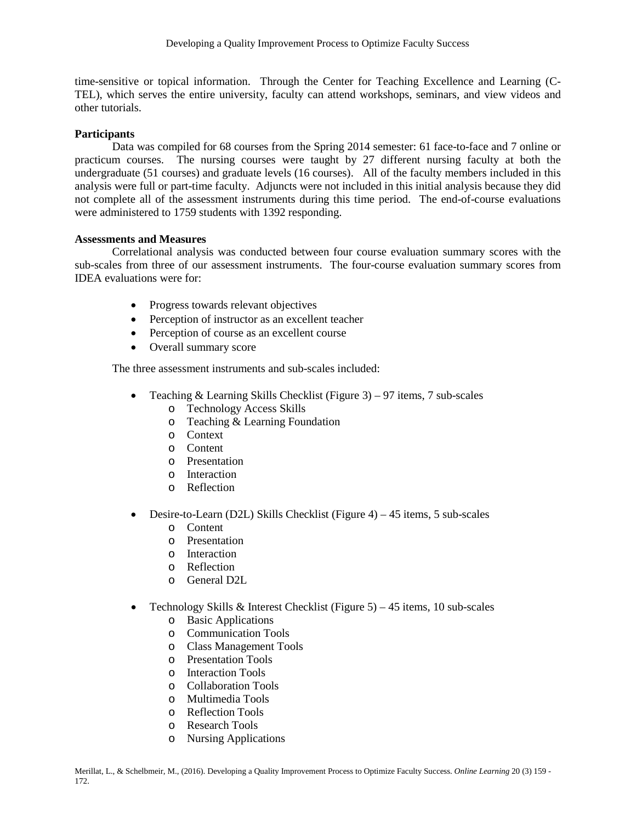time-sensitive or topical information. Through the Center for Teaching Excellence and Learning (C-TEL), which serves the entire university, faculty can attend workshops, seminars, and view videos and other tutorials.

#### **Participants**

Data was compiled for 68 courses from the Spring 2014 semester: 61 face-to-face and 7 online or practicum courses. The nursing courses were taught by 27 different nursing faculty at both the undergraduate (51 courses) and graduate levels (16 courses). All of the faculty members included in this analysis were full or part-time faculty. Adjuncts were not included in this initial analysis because they did not complete all of the assessment instruments during this time period. The end-of-course evaluations were administered to 1759 students with 1392 responding.

#### **Assessments and Measures**

Correlational analysis was conducted between four course evaluation summary scores with the sub-scales from three of our assessment instruments. The four-course evaluation summary scores from IDEA evaluations were for:

- Progress towards relevant objectives
- Perception of instructor as an excellent teacher
- Perception of course as an excellent course
- Overall summary score

The three assessment instruments and sub-scales included:

- Teaching  $& Learning Skills Checklist (Figure 3) 97 items, 7 sub-scales$ 
	- o Technology Access Skills
	- o Teaching & Learning Foundation
	- o Context
	- o Content
	- o Presentation
	- o Interaction
	- o Reflection
- Desire-to-Learn (D2L) Skills Checklist (Figure 4) 45 items, 5 sub-scales
	- o Content
	- o Presentation
	- o Interaction
	- o Reflection
	- o General D2L
- Technology Skills & Interest Checklist (Figure 5) 45 items, 10 sub-scales
	- o Basic Applications
	- o Communication Tools
	- o Class Management Tools
	- o Presentation Tools
	- o Interaction Tools<br>
	Collaboration Too
	- Collaboration Tools
	- o Multimedia Tools
	- o Reflection Tools
	- o Research Tools
	- o Nursing Applications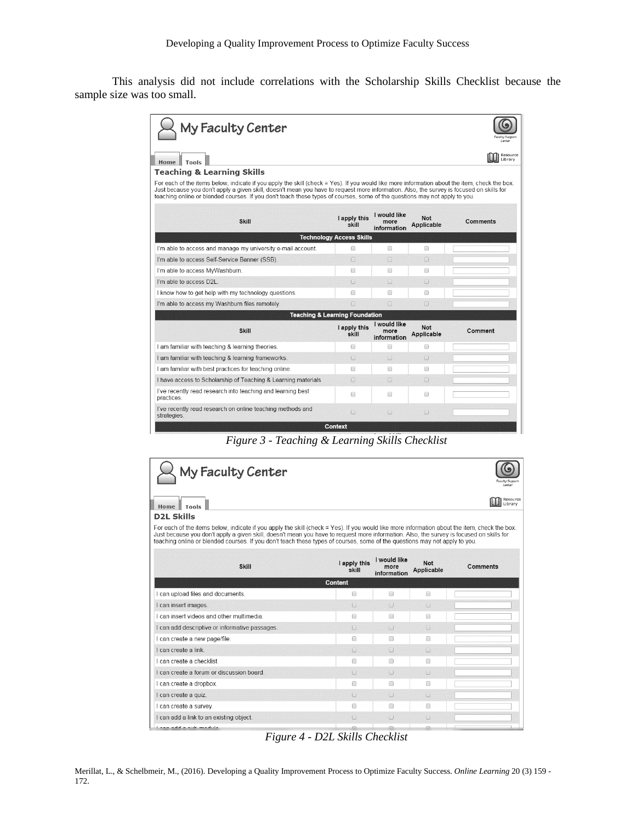This analysis did not include correlations with the Scholarship Skills Checklist because the sample size was too small.

| My Faculty Center                                                                                                                                                                                                                                                                                                                                                                                                       |                       |                                     |                          | aculty Suppor<br>Center |  |
|-------------------------------------------------------------------------------------------------------------------------------------------------------------------------------------------------------------------------------------------------------------------------------------------------------------------------------------------------------------------------------------------------------------------------|-----------------------|-------------------------------------|--------------------------|-------------------------|--|
| Home  <br>Tools                                                                                                                                                                                                                                                                                                                                                                                                         |                       |                                     |                          | Resource<br>Library     |  |
| <b>Teaching &amp; Learning Skills</b>                                                                                                                                                                                                                                                                                                                                                                                   |                       |                                     |                          |                         |  |
| For each of the items below, indicate if you apply the skill (check = Yes). If you would like more information about the item, check the box.<br>Just because you don't apply a given skill, doesn't mean you have to request more information. Also, the survey is focused on skills for<br>teaching online or blended courses. If you don't teach these types of courses, some of the questions may not apply to you. |                       |                                     |                          |                         |  |
| <b>Skill</b>                                                                                                                                                                                                                                                                                                                                                                                                            | I apply this<br>skill | I would like<br>more<br>information | <b>Not</b><br>Applicable | Comments                |  |
| <b>Technology Access Skills</b>                                                                                                                                                                                                                                                                                                                                                                                         |                       |                                     |                          |                         |  |
| I'm able to access and manage my university e-mail account.                                                                                                                                                                                                                                                                                                                                                             | 0                     | ∩                                   | $\Box$                   |                         |  |
| I'm able to access Self-Service Banner (SSB).                                                                                                                                                                                                                                                                                                                                                                           | $\Box$                | $\Box$                              | $\Box$                   |                         |  |
| I'm able to access MyWashburn.                                                                                                                                                                                                                                                                                                                                                                                          | ∩                     | ∩                                   | ∩                        |                         |  |
| I'm able to access D2L                                                                                                                                                                                                                                                                                                                                                                                                  | $\Box$                | $\Box$                              | $\Box$                   |                         |  |
| I know how to get help with my technology questions.                                                                                                                                                                                                                                                                                                                                                                    | ∩                     | ∩                                   | $\Box$                   |                         |  |
| I'm able to access my Washburn files remotely.                                                                                                                                                                                                                                                                                                                                                                          | n                     | $\Box$                              | $\cap$                   |                         |  |
| <b>Teaching &amp; Learning Foundation</b>                                                                                                                                                                                                                                                                                                                                                                               |                       |                                     |                          |                         |  |
| <b>Skill</b>                                                                                                                                                                                                                                                                                                                                                                                                            | I apply this<br>skill | I would like<br>more<br>information | <b>Not</b><br>Applicable | Comment                 |  |
| I am familiar with teaching & learning theories.                                                                                                                                                                                                                                                                                                                                                                        | ⋒                     | □                                   | $\Box$                   |                         |  |
| I am familiar with teaching & learning frameworks.                                                                                                                                                                                                                                                                                                                                                                      | $\Box$                | n                                   | $\Box$                   |                         |  |
| I am familiar with best practices for teaching online.                                                                                                                                                                                                                                                                                                                                                                  | ∩                     | ∩                                   | ∩                        |                         |  |
| I have access to Scholarship of Teaching & Learning materials                                                                                                                                                                                                                                                                                                                                                           | n                     | $\Box$                              | $\Box$                   |                         |  |
| I've recently read research into teaching and learning best<br>practices.                                                                                                                                                                                                                                                                                                                                               | $\Box$                | ∩                                   | $\Box$                   |                         |  |
| I've recently read research on online teaching methods and<br>strategies.                                                                                                                                                                                                                                                                                                                                               | $\Box$                | $\Box$                              | $\Box$                   |                         |  |

*Figure 3 - Teaching & Learning Skills Checklist*

| My Faculty Center<br>Home<br>Tools                                                                                                                                                                                                                                                                                                                                                                                      |                                         |                                     |                          | Center<br>Resource<br>Library |
|-------------------------------------------------------------------------------------------------------------------------------------------------------------------------------------------------------------------------------------------------------------------------------------------------------------------------------------------------------------------------------------------------------------------------|-----------------------------------------|-------------------------------------|--------------------------|-------------------------------|
| <b>D2L Skills</b>                                                                                                                                                                                                                                                                                                                                                                                                       |                                         |                                     |                          |                               |
| For each of the items below, indicate if you apply the skill (check = Yes). If you would like more information about the item, check the box.<br>Just because you don't apply a given skill, doesn't mean you have to request more information. Also, the survey is focused on skills for<br>teaching online or blended courses. If you don't teach these types of courses, some of the questions may not apply to you. |                                         |                                     |                          |                               |
| <b>Skill</b>                                                                                                                                                                                                                                                                                                                                                                                                            | I apply this<br>skill                   | I would like<br>more<br>information | <b>Not</b><br>Applicable | Comments                      |
| Content                                                                                                                                                                                                                                                                                                                                                                                                                 |                                         |                                     |                          |                               |
| I can upload files and documents.                                                                                                                                                                                                                                                                                                                                                                                       | $\begin{array}{ccc} \hline \end{array}$ | $\Box$                              | ∩                        |                               |
| I can insert images.                                                                                                                                                                                                                                                                                                                                                                                                    | $\Box$                                  | $\Box$                              | $\Box$                   |                               |
| I can insert videos and other multimedia.                                                                                                                                                                                                                                                                                                                                                                               | $\Box$                                  | $\Box$                              | □                        |                               |
| I can add descriptive or informative passages.                                                                                                                                                                                                                                                                                                                                                                          | $\Box$                                  | $\Box$                              | $\Box$                   |                               |
| I can create a new page/file.                                                                                                                                                                                                                                                                                                                                                                                           | □                                       | ∩                                   | ∩                        |                               |
| I can create a link                                                                                                                                                                                                                                                                                                                                                                                                     | $\Box$                                  | $\Box$                              | $\cap$                   |                               |
| I can create a checklist.                                                                                                                                                                                                                                                                                                                                                                                               | $\Box$                                  | $\Box$                              | $\Box$                   |                               |
| I can create a forum or discussion board                                                                                                                                                                                                                                                                                                                                                                                | $\cap$                                  | $\Box$                              | $\cap$                   |                               |
| I can create a dropbox.                                                                                                                                                                                                                                                                                                                                                                                                 | €                                       | ⊟                                   | €                        |                               |
| I can create a quiz.                                                                                                                                                                                                                                                                                                                                                                                                    | $\Box$                                  | $\Box$                              | $\Box$                   |                               |
| I can create a survey.                                                                                                                                                                                                                                                                                                                                                                                                  | □                                       | $\Box$                              | $\qquad \qquad \Box$     |                               |
| I can add a link to an existing object.                                                                                                                                                                                                                                                                                                                                                                                 | $\Box$                                  | $\Box$                              | $\Box$                   |                               |
| ملتلة ممم طبيم ماملهم مممط                                                                                                                                                                                                                                                                                                                                                                                              |                                         |                                     |                          |                               |

*Figure 4 - D2L Skills Checklist*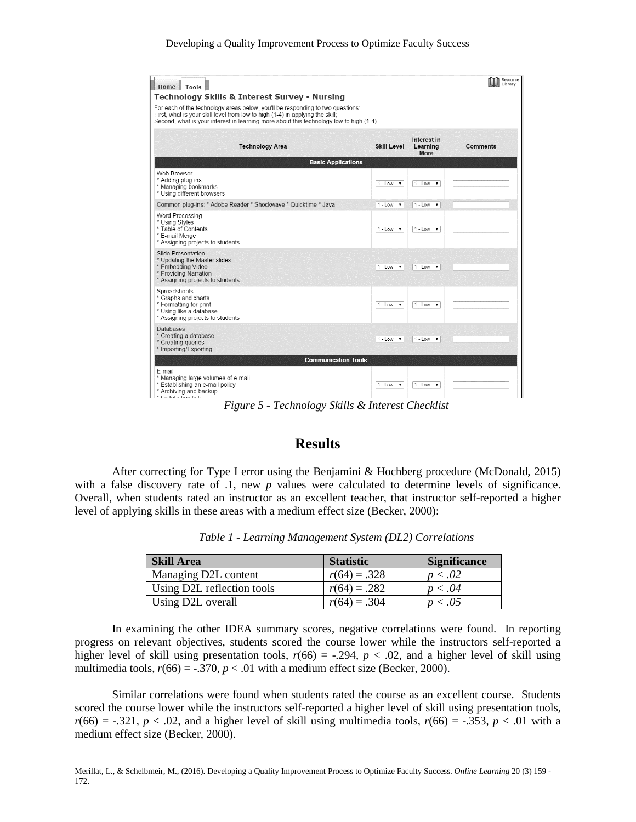| Home Tools                                                                                                                                                                                                                                                 |                                 |                                                              | Resource<br>Library |
|------------------------------------------------------------------------------------------------------------------------------------------------------------------------------------------------------------------------------------------------------------|---------------------------------|--------------------------------------------------------------|---------------------|
| <b>Technology Skills &amp; Interest Survey - Nursing</b>                                                                                                                                                                                                   |                                 |                                                              |                     |
| For each of the technology areas below, you'll be responding to two questions:<br>First, what is your skill level from low to high (1-4) in applying the skill;<br>Second, what is your interest in learning more about this technology low to high (1-4). |                                 |                                                              |                     |
| <b>Technology Area</b>                                                                                                                                                                                                                                     | <b>Skill Level</b>              | Interest in<br>Learning<br>More                              | <b>Comments</b>     |
| <b>Basic Applications</b>                                                                                                                                                                                                                                  |                                 |                                                              |                     |
| Web Browser<br>* Adding plug-ins<br>* Managing bookmarks<br>* Using different browsers                                                                                                                                                                     | $1 - Low$<br>$\mathbf{v}$       | $1 - Low \rightarrow$                                        |                     |
| Common plug-ins: * Adobe Reader * Shockwave * Quicktime * Java                                                                                                                                                                                             | $1 - Low$<br>$\pmb{\mathrm{v}}$ | $1 - Low \rightarrow$                                        |                     |
| Word Processing<br>* Using Styles<br>* Table of Contents<br>* E-mail Merge<br>* Assigning projects to students                                                                                                                                             | $1 - Low \cdot v$               | $1 - Low \cdot v$                                            |                     |
| <b>Slide Presentation</b><br>* Updating the Master slides<br>* Embedding Video<br>* Providing Narration<br>* Assigning projects to students                                                                                                                | $1 - Low \rightarrow$           | $1 - Low \rightarrow$                                        |                     |
| Spreadsheets<br>* Graphs and charts<br>* Formatting for print<br>* Using like a database<br>* Assigning projects to students                                                                                                                               | $1 - Low \rightarrow$           | $1 - Low \rightarrow$                                        |                     |
| Databases<br>* Creating a database<br>* Creating queries<br>* Importing/Exporting                                                                                                                                                                          | $1 - Low \rightarrow$           | $1 - Low$<br>$\boldsymbol{\mathsf{v}}$                       |                     |
| <b>Communication Tools</b>                                                                                                                                                                                                                                 |                                 |                                                              |                     |
| F-mail<br>* Managing large volumes of e-mail<br>* Establishing an e-mail policy<br>* Archiving and backup<br>* Dietribution liete<br>$\overline{\phantom{a}}$                                                                                              | $1 - Low \rightarrow$           | $1 - Low \rightarrow$<br>$\sim$<br>$\mathbf{v}$ $\mathbf{v}$ |                     |

*Figure 5 - Technology Skills & Interest Checklist*

## **Results**

After correcting for Type I error using the Benjamini & Hochberg procedure (McDonald, 2015) with a false discovery rate of .1, new *p* values were calculated to determine levels of significance. Overall, when students rated an instructor as an excellent teacher, that instructor self-reported a higher level of applying skills in these areas with a medium effect size (Becker, 2000):

| <b>Skill Area</b>          | <b>Statistic</b> | <b>Significance</b> |
|----------------------------|------------------|---------------------|
| Managing D2L content       | $r(64) = .328$   | p < .02             |
| Using D2L reflection tools | $r(64) = .282$   | p < .04             |
| Using D2L overall          | $r(64) = .304$   | p < .05             |

*Table 1 - Learning Management System (DL2) Correlations*

In examining the other IDEA summary scores, negative correlations were found. In reporting progress on relevant objectives, students scored the course lower while the instructors self-reported a higher level of skill using presentation tools,  $r(66) = -.294$ ,  $p < .02$ , and a higher level of skill using multimedia tools,  $r(66) = -.370$ ,  $p < .01$  with a medium effect size (Becker, 2000).

Similar correlations were found when students rated the course as an excellent course. Students scored the course lower while the instructors self-reported a higher level of skill using presentation tools,  $r(66) = -.321$ ,  $p < .02$ , and a higher level of skill using multimedia tools,  $r(66) = -.353$ ,  $p < .01$  with a medium effect size (Becker, 2000).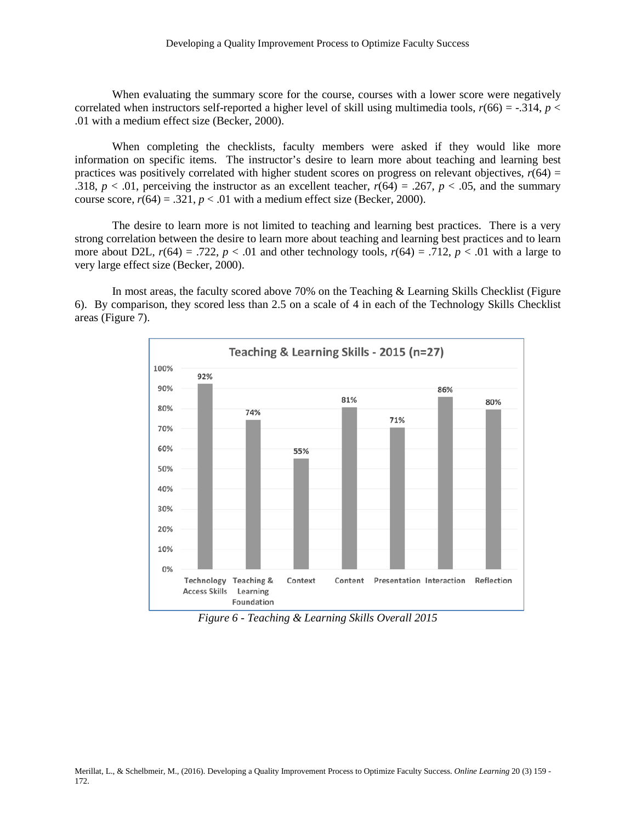When evaluating the summary score for the course, courses with a lower score were negatively correlated when instructors self-reported a higher level of skill using multimedia tools,  $r(66) = -0.314$ ,  $p <$ .01 with a medium effect size (Becker, 2000).

When completing the checklists, faculty members were asked if they would like more information on specific items. The instructor's desire to learn more about teaching and learning best practices was positively correlated with higher student scores on progress on relevant objectives,  $r(64) =$ .318,  $p < .01$ , perceiving the instructor as an excellent teacher,  $r(64) = .267$ ,  $p < .05$ , and the summary course score,  $r(64) = .321$ ,  $p < .01$  with a medium effect size (Becker, 2000).

The desire to learn more is not limited to teaching and learning best practices. There is a very strong correlation between the desire to learn more about teaching and learning best practices and to learn more about D2L,  $r(64) = .722$ ,  $p < .01$  and other technology tools,  $r(64) = .712$ ,  $p < .01$  with a large to very large effect size (Becker, 2000).

In most areas, the faculty scored above 70% on the Teaching & Learning Skills Checklist (Figure 6). By comparison, they scored less than 2.5 on a scale of 4 in each of the Technology Skills Checklist areas (Figure 7).



*Figure 6 - Teaching & Learning Skills Overall 2015*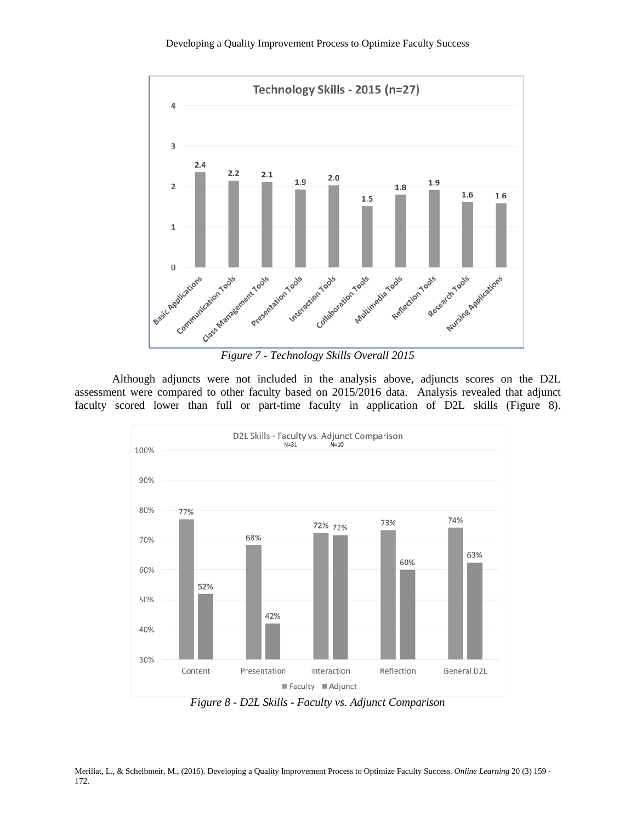

Although adjuncts were not included in the analysis above, adjuncts scores on the D2L assessment were compared to other faculty based on 2015/2016 data. Analysis revealed that adjunct faculty scored lower than full or part-time faculty in application of D2L skills (Figure 8).



*Figure 8 - D2L Skills - Faculty vs. Adjunct Comparison*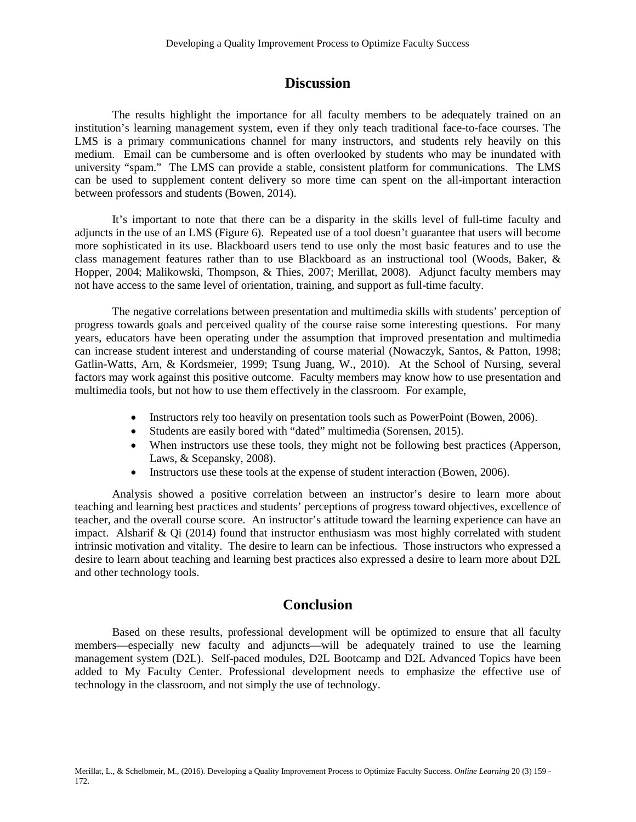## **Discussion**

The results highlight the importance for all faculty members to be adequately trained on an institution's learning management system, even if they only teach traditional face-to-face courses. The LMS is a primary communications channel for many instructors, and students rely heavily on this medium. Email can be cumbersome and is often overlooked by students who may be inundated with university "spam." The LMS can provide a stable, consistent platform for communications. The LMS can be used to supplement content delivery so more time can spent on the all-important interaction between professors and students (Bowen, 2014).

It's important to note that there can be a disparity in the skills level of full-time faculty and adjuncts in the use of an LMS (Figure 6). Repeated use of a tool doesn't guarantee that users will become more sophisticated in its use. Blackboard users tend to use only the most basic features and to use the class management features rather than to use Blackboard as an instructional tool (Woods, Baker, & Hopper, 2004; Malikowski, Thompson, & Thies, 2007; Merillat, 2008). Adjunct faculty members may not have access to the same level of orientation, training, and support as full-time faculty.

The negative correlations between presentation and multimedia skills with students' perception of progress towards goals and perceived quality of the course raise some interesting questions. For many years, educators have been operating under the assumption that improved presentation and multimedia can increase student interest and understanding of course material (Nowaczyk, Santos, & Patton, 1998; Gatlin-Watts, Arn, & Kordsmeier, 1999; Tsung Juang, W., 2010). At the School of Nursing, several factors may work against this positive outcome. Faculty members may know how to use presentation and multimedia tools, but not how to use them effectively in the classroom. For example,

- Instructors rely too heavily on presentation tools such as PowerPoint (Bowen, 2006).
- Students are easily bored with "dated" multimedia (Sorensen, 2015).
- When instructors use these tools, they might not be following best practices (Apperson, Laws, & Scepansky, 2008).
- Instructors use these tools at the expense of student interaction (Bowen, 2006).

Analysis showed a positive correlation between an instructor's desire to learn more about teaching and learning best practices and students' perceptions of progress toward objectives, excellence of teacher, and the overall course score. An instructor's attitude toward the learning experience can have an impact. Alsharif  $\&$  Qi (2014) found that instructor enthusiasm was most highly correlated with student intrinsic motivation and vitality. The desire to learn can be infectious. Those instructors who expressed a desire to learn about teaching and learning best practices also expressed a desire to learn more about D2L and other technology tools.

## **Conclusion**

Based on these results, professional development will be optimized to ensure that all faculty members—especially new faculty and adjuncts—will be adequately trained to use the learning management system (D2L). Self-paced modules, D2L Bootcamp and D2L Advanced Topics have been added to My Faculty Center. Professional development needs to emphasize the effective use of technology in the classroom, and not simply the use of technology.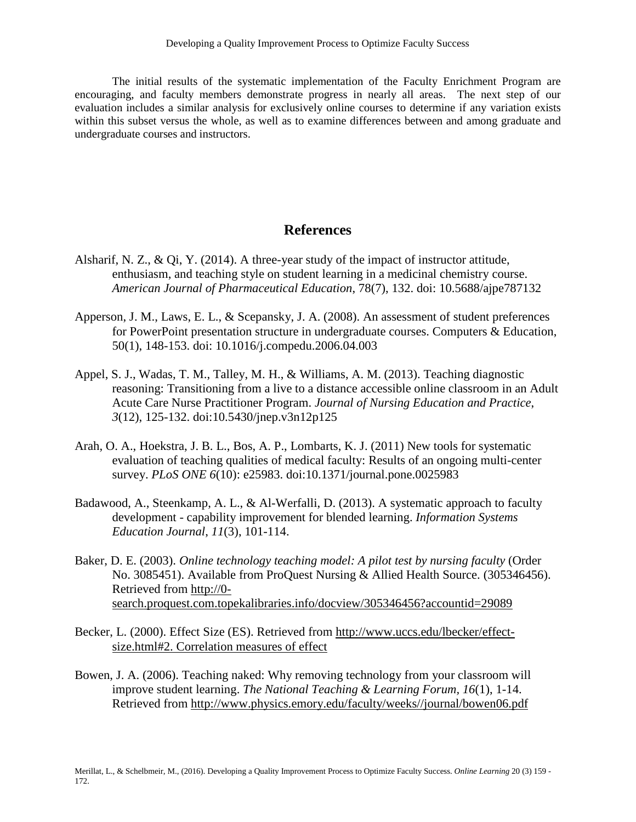The initial results of the systematic implementation of the Faculty Enrichment Program are encouraging, and faculty members demonstrate progress in nearly all areas. The next step of our evaluation includes a similar analysis for exclusively online courses to determine if any variation exists within this subset versus the whole, as well as to examine differences between and among graduate and undergraduate courses and instructors.

# **References**

- Alsharif, N. Z., & Qi, Y. (2014). A three-year study of the impact of instructor attitude, enthusiasm, and teaching style on student learning in a medicinal chemistry course. *American Journal of Pharmaceutical Education*, 78(7), 132. doi: 10.5688/ajpe787132
- Apperson, J. M., Laws, E. L., & Scepansky, J. A. (2008). An assessment of student preferences for PowerPoint presentation structure in undergraduate courses. Computers & Education, 50(1), 148-153. doi: 10.1016/j.compedu.2006.04.003
- Appel, S. J., Wadas, T. M., Talley, M. H., & Williams, A. M. (2013). Teaching diagnostic reasoning: Transitioning from a live to a distance accessible online classroom in an Adult Acute Care Nurse Practitioner Program. *Journal of Nursing Education and Practice*, *3*(12), 125-132. doi:10.5430/jnep.v3n12p125
- Arah, O. A., Hoekstra, J. B. L., Bos, A. P., Lombarts, K. J. (2011) New tools for systematic evaluation of teaching qualities of medical faculty: Results of an ongoing multi-center survey. *PLoS ONE 6*(10): e25983. doi:10.1371/journal.pone.0025983
- Badawood, A., Steenkamp, A. L., & Al-Werfalli, D. (2013). A systematic approach to faculty development - capability improvement for blended learning. *Information Systems Education Journal*, *11*(3), 101-114.
- Baker, D. E. (2003). *Online technology teaching model: A pilot test by nursing faculty* (Order No. 3085451). Available from ProQuest Nursing & Allied Health Source. (305346456). Retrieved from [http://0](http://0-search.proquest.com.topekalibraries.info/docview/305346456?accountid=29089) [search.proquest.com.topekalibraries.info/docview/305346456?accountid=29089](http://0-search.proquest.com.topekalibraries.info/docview/305346456?accountid=29089)
- Becker, L. (2000). Effect Size (ES). Retrieved from [http://www.uccs.edu/lbecker/effect](http://www.uccs.edu/lbecker/effect-size.html%232.%20Correlation%20measures%20of%20effect)[size.html#2. Correlation measures of effect](http://www.uccs.edu/lbecker/effect-size.html%232.%20Correlation%20measures%20of%20effect)
- Bowen, J. A. (2006). Teaching naked: Why removing technology from your classroom will improve student learning. *The National Teaching & Learning Forum, 16*(1), 1-14. Retrieved from [http://www.physics.emory.edu/faculty/weeks//journal/bowen06.pdf](http://www.physics.emory.edu/faculty/weeks/journal/bowen06.pdf)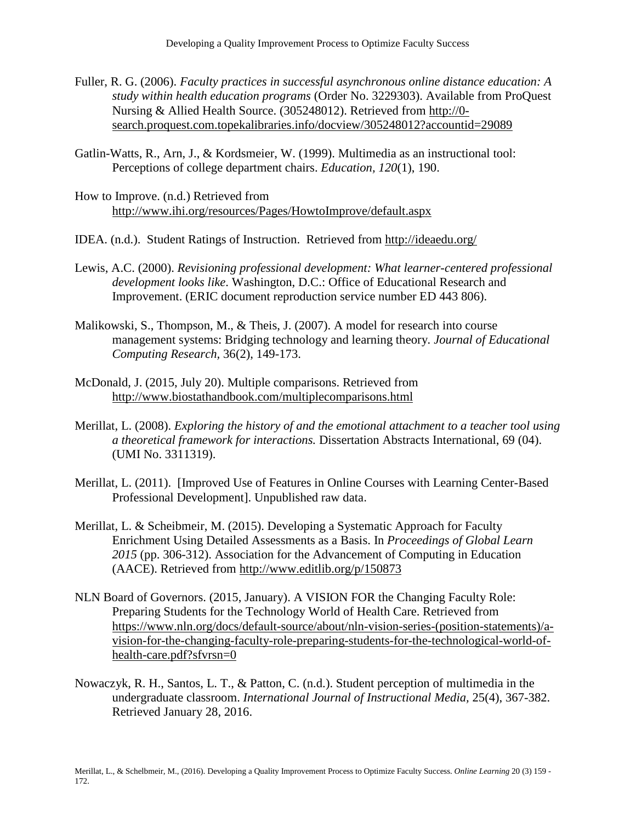- Fuller, R. G. (2006). *Faculty practices in successful asynchronous online distance education: A study within health education programs* (Order No. 3229303). Available from ProQuest Nursing & Allied Health Source. (305248012). Retrieved from [http://0](http://0-search.proquest.com.topekalibraries.info/docview/305248012?accountid=29089) [search.proquest.com.topekalibraries.info/docview/305248012?accountid=29089](http://0-search.proquest.com.topekalibraries.info/docview/305248012?accountid=29089)
- Gatlin-Watts, R., Arn, J., & Kordsmeier, W. (1999). Multimedia as an instructional tool: Perceptions of college department chairs. *Education, 120*(1), 190.
- How to Improve. (n.d.) Retrieved from <http://www.ihi.org/resources/Pages/HowtoImprove/default.aspx>
- IDEA. (n.d.). Student Ratings of Instruction. Retrieved from<http://ideaedu.org/>
- Lewis, A.C. (2000). *Revisioning professional development: What learner-centered professional development looks like*. Washington, D.C.: Office of Educational Research and Improvement. (ERIC document reproduction service number ED 443 806).
- Malikowski, S., Thompson, M., & Theis, J. (2007). A model for research into course management systems: Bridging technology and learning theory*. Journal of Educational Computing Research,* 36(2), 149-173.
- McDonald, J. (2015, July 20). Multiple comparisons. Retrieved from <http://www.biostathandbook.com/multiplecomparisons.html>
- Merillat, L. (2008). *Exploring the history of and the emotional attachment to a teacher tool using a theoretical framework for interactions.* Dissertation Abstracts International, 69 (04). (UMI No. 3311319).
- Merillat, L. (2011). [Improved Use of Features in Online Courses with Learning Center-Based Professional Development]. Unpublished raw data.
- Merillat, L. & Scheibmeir, M. (2015). Developing a Systematic Approach for Faculty Enrichment Using Detailed Assessments as a Basis. In *Proceedings of Global Learn 2015* (pp. 306-312). Association for the Advancement of Computing in Education (AACE). Retrieved from<http://www.editlib.org/p/150873>
- NLN Board of Governors. (2015, January). A VISION FOR the Changing Faculty Role: Preparing Students for the Technology World of Health Care. Retrieved from [https://www.nln.org/docs/default-source/about/nln-vision-series-\(position-statements\)/a](https://www.nln.org/docs/default-source/about/nln-vision-series-(position-statements)/a-vision-for-the-changing-faculty-role-preparing-students-for-the-technological-world-of-health-care.pdf?sfvrsn=0)[vision-for-the-changing-faculty-role-preparing-students-for-the-technological-world-of](https://www.nln.org/docs/default-source/about/nln-vision-series-(position-statements)/a-vision-for-the-changing-faculty-role-preparing-students-for-the-technological-world-of-health-care.pdf?sfvrsn=0)[health-care.pdf?sfvrsn=0](https://www.nln.org/docs/default-source/about/nln-vision-series-(position-statements)/a-vision-for-the-changing-faculty-role-preparing-students-for-the-technological-world-of-health-care.pdf?sfvrsn=0)
- Nowaczyk, R. H., Santos, L. T., & Patton, C. (n.d.). Student perception of multimedia in the undergraduate classroom. *International Journal of Instructional Media,* 25(4), 367-382. Retrieved January 28, 2016.